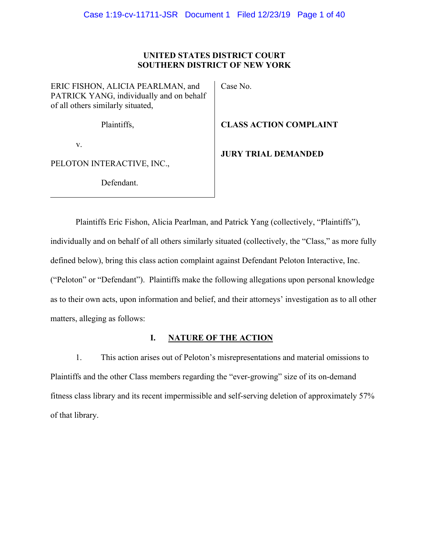# UNITED STATES DISTRICT COURT **SOUTHERN DISTRICT OF NEW YORK**

ERIC FISHON, ALICIA PEARLMAN, and PATRICK YANG, individually and on behalf of all others similarly situated,

Case No.

V.

PELOTON INTERACTIVE, INC.,

Defendant.

Plaintiffs,

**CLASS ACTION COMPLAINT** 

**JURY TRIAL DEMANDED** 

Plaintiffs Eric Fishon, Alicia Pearlman, and Patrick Yang (collectively, "Plaintiffs"), individually and on behalf of all others similarly situated (collectively, the "Class," as more fully defined below), bring this class action complaint against Defendant Peloton Interactive, Inc. ("Peloton" or "Defendant"). Plaintiffs make the following allegations upon personal knowledge as to their own acts, upon information and belief, and their attorneys' investigation as to all other matters, alleging as follows:

#### I. **NATURE OF THE ACTION**

1. This action arises out of Peloton's misrepresentations and material omissions to Plaintiffs and the other Class members regarding the "ever-growing" size of its on-demand fitness class library and its recent impermissible and self-serving deletion of approximately 57% of that library.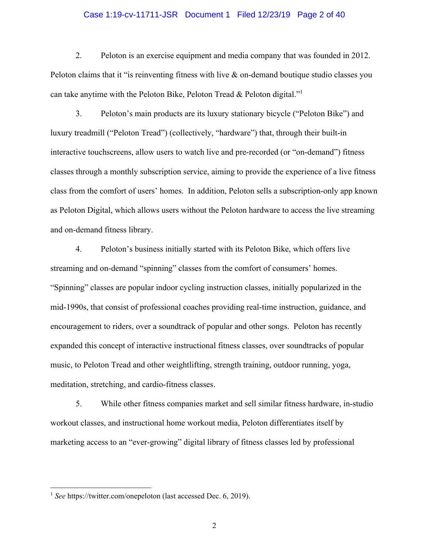### Case 1:19-cv-11711-JSR Document 1 Filed 12/23/19 Page 2 of 40

2. Peloton is an exercise equipment and media company that was founded in 2012. Peloton claims that it "is reinventing fitness with live  $\&$  on-demand boutique studio classes you can take anytime with the Peloton Bike, Peloton Tread & Peloton digital."<sup>1</sup>

 $\overline{3}$ . Peloton's main products are its luxury stationary bicycle ("Peloton Bike") and luxury treadmill ("Peloton Tread") (collectively, "hardware") that, through their built-in interactive touch screens, allow users to watch live and pre-recorded (or "on-demand") fitness classes through a monthly subscription service, aiming to provide the experience of a live fitness class from the comfort of users' homes. In addition, Peloton sells a subscription-only app known as Peloton Digital, which allows users without the Peloton hardware to access the live streaming and on-demand fitness library.

 $4.$ Peloton's business initially started with its Peloton Bike, which offers live streaming and on-demand "spinning" classes from the comfort of consumers' homes. "Spinning" classes are popular indoor cycling instruction classes, initially popularized in the mid-1990s, that consist of professional coaches providing real-time instruction, guidance, and encouragement to riders, over a soundtrack of popular and other songs. Peloton has recently expanded this concept of interactive instructional fitness classes, over sound tracks of popular music, to Peloton Tread and other weightlifting, strength training, outdoor running, yoga, meditation, stretching, and cardio-fitness classes.

5. While other fitness companies market and sell similar fitness hardware, in-studio workout classes, and instructional home workout media, Peloton differentiates itself by marketing access to an "ever-growing" digital library of fitness classes led by professional

 $1$  See https://twitter.com/onepeloton (last accessed Dec. 6, 2019).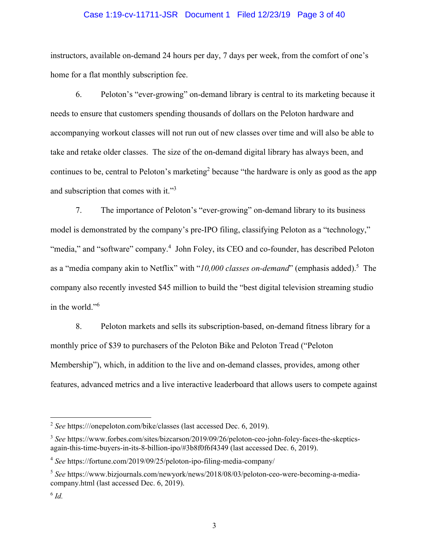### Case 1:19-cv-11711-JSR Document 1 Filed 12/23/19 Page 3 of 40

instructors, available on-demand 24 hours per day, 7 days per week, from the comfort of one's home for a flat monthly subscription fee.

Peloton's "ever-growing" on-demand library is central to its marketing because it 6. needs to ensure that customers spending thousands of dollars on the Peloton hardware and accompanying workout classes will not run out of new classes over time and will also be able to take and retake older classes. The size of the on-demand digital library has always been, and continues to be, central to Peloton's marketing<sup>2</sup> because "the hardware is only as good as the app and subscription that comes with it."<sup>3</sup>

7. The importance of Peloton's "ever-growing" on-demand library to its business model is demonstrated by the company's pre-IPO filing, classifying Peloton as a "technology," "media," and "software" company.<sup>4</sup> John Foley, its CEO and co-founder, has described Peloton as a "media company akin to Netflix" with "10,000 classes on-demand" (emphasis added).<sup>5</sup> The company also recently invested \$45 million to build the "best digital television streaming studio in the world."<sup>6</sup>

Peloton markets and sells its subscription-based, on-demand fitness library for a 8. monthly price of \$39 to purchasers of the Peloton Bike and Peloton Tread ("Peloton" Membership"), which, in addition to the live and on-demand classes, provides, among other features, advanced metrics and a live interactive leaderboard that allows users to compete against

 $2$  See https:///onepeloton.com/bike/classes (last accessed Dec. 6, 2019).

<sup>&</sup>lt;sup>3</sup> See https://www.forbes.com/sites/bizcarson/2019/09/26/peloton-ceo-john-foley-faces-the-skepticsagain-this-time-buyers-in-its-8-billion-ipo/#3b8f0f6f4349 (last accessed Dec. 6, 2019).

<sup>&</sup>lt;sup>4</sup> See https://fortune.com/2019/09/25/peloton-ipo-filing-media-company/

<sup>&</sup>lt;sup>5</sup> See https://www.bizjournals.com/newyork/news/2018/08/03/peloton-ceo-were-becoming-a-mediacompany.html (last accessed Dec. 6, 2019).

 $^6$  Id.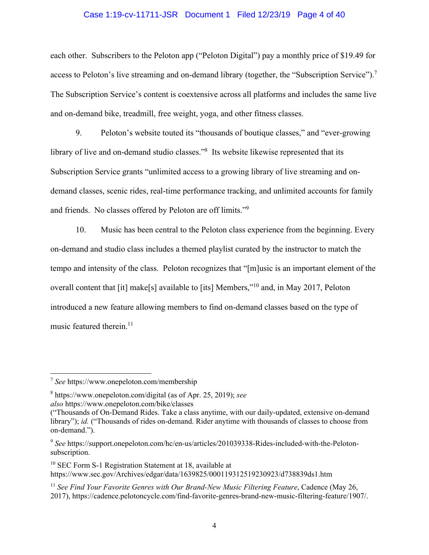#### Case 1:19-cv-11711-JSR Document 1 Filed 12/23/19 Page 4 of 40

each other. Subscribers to the Peloton app ("Peloton Digital") pay a monthly price of \$19.49 for access to Peloton's live streaming and on-demand library (together, the "Subscription Service").<sup>7</sup> The Subscription Service's content is coextensive across all platforms and includes the same live and on-demand bike, treadmill, free weight, yoga, and other fitness classes.

9. Peloton's website touted its "thousands of boutique classes," and "ever-growing library of live and on-demand studio classes."<sup>8</sup> Its website likewise represented that its Subscription Service grants "unlimited access to a growing library of live streaming and ondemand classes, scenic rides, real-time performance tracking, and unlimited accounts for family and friends. No classes offered by Peloton are off limits."<sup>9</sup>

 $10.$ Music has been central to the Peloton class experience from the beginning. Every on-demand and studio class includes a themed playlist curated by the instructor to match the tempo and intensity of the class. Peloton recognizes that "[m] usic is an important element of the overall content that [it] make[s] available to [its] Members,"<sup>10</sup> and, in May 2017, Peloton introduced a new feature allowing members to find on-demand classes based on the type of music featured therein.<sup>11</sup>

 $\frac{7}{2}$  See https://www.onepeloton.com/membership

 $8$  https://www.onepeloton.com/digital (as of Apr. 25, 2019); see also https://www.onepeloton.com/bike/classes

<sup>(&</sup>quot;Thousands of On-Demand Rides. Take a class anytime, with our daily-updated, extensive on-demand library"); id. ("Thousands of rides on-demand. Rider anytime with thousands of classes to choose from on-demand.").

<sup>&</sup>lt;sup>9</sup> See https://support.onepeloton.com/hc/en-us/articles/201039338-Rides-included-with-the-Pelotonsubscription.

 $10$  SEC Form S-1 Registration Statement at 18, available at https://www.sec.gov/Archives/edgar/data/1639825/000119312519230923/d738839ds1.htm

 $11$  See Find Your Favorite Genres with Our Brand-New Music Filtering Feature, Cadence (May 26, 2017), https://cadence.pelotoncycle.com/find-favorite-genres-brand-new-music-filtering-feature/1907/.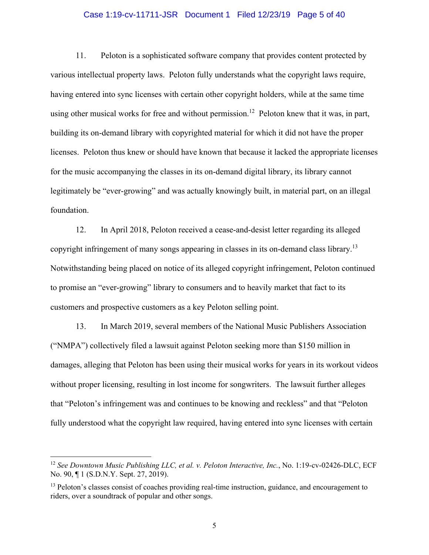### Case 1:19-cv-11711-JSR Document 1 Filed 12/23/19 Page 5 of 40

 $11.$ Peloton is a sophisticated software company that provides content protected by various intellectual property laws. Peloton fully understands what the copyright laws require, having entered into sync licenses with certain other copyright holders, while at the same time using other musical works for free and without permission.<sup>12</sup> Peloton knew that it was, in part, building its on-demand library with copyrighted material for which it did not have the proper licenses. Peloton thus knew or should have known that because it lacked the appropriate licenses for the music accompanying the classes in its on-demand digital library, its library cannot legitimately be "ever-growing" and was actually knowingly built, in material part, on an illegal foundation.

12. In April 2018, Peloton received a cease-and-desist letter regarding its alleged copyright infringement of many songs appearing in classes in its on-demand class library.<sup>13</sup> Notwithstanding being placed on notice of its alleged copyright infringement, Peloton continued to promise an "ever-growing" library to consumers and to heavily market that fact to its customers and prospective customers as a key Peloton selling point.

13. In March 2019, several members of the National Music Publishers Association ("NMPA") collectively filed a lawsuit against Peloton seeking more than \$150 million in damages, alleging that Peloton has been using their musical works for years in its workout videos without proper licensing, resulting in lost income for songwriters. The lawsuit further alleges that "Peloton's infringement was and continues to be knowing and reckless" and that "Peloton" fully understood what the copyright law required, having entered into sync licenses with certain

<sup>&</sup>lt;sup>12</sup> See Downtown Music Publishing LLC, et al. v. Peloton Interactive, Inc., No. 1:19-cv-02426-DLC, ECF No. 90, ¶ 1 (S.D.N.Y. Sept. 27, 2019).

<sup>&</sup>lt;sup>13</sup> Peloton's classes consist of coaches providing real-time instruction, guidance, and encouragement to riders, over a soundtrack of popular and other songs.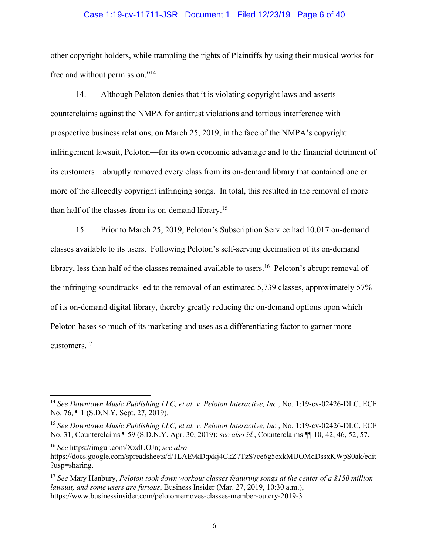### Case 1:19-cv-11711-JSR Document 1 Filed 12/23/19 Page 6 of 40

other copyright holders, while trampling the rights of Plaintiffs by using their musical works for free and without permission."<sup>14</sup>

Although Peloton denies that it is violating copyright laws and asserts 14. counterclaims against the NMPA for antitrust violations and tortious interference with prospective business relations, on March 25, 2019, in the face of the NMPA's copyright infringement lawsuit, Peloton—for its own economic advantage and to the financial detriment of its customers—abruptly removed every class from its on-demand library that contained one or more of the allegedly copyright infringing songs. In total, this resulted in the removal of more than half of the classes from its on-demand library.<sup>15</sup>

15. Prior to March 25, 2019, Peloton's Subscription Service had 10,017 on-demand classes available to its users. Following Peloton's self-serving decimation of its on-demand library, less than half of the classes remained available to users.<sup>16</sup> Peloton's abrupt removal of the infringing sound tracks led to the removal of an estimated 5,739 classes, approximately 57% of its on-demand digital library, thereby greatly reducing the on-demand options upon which Peloton bases so much of its marketing and uses as a differentiating factor to garner more customers. $17$ 

<sup>&</sup>lt;sup>14</sup> See Downtown Music Publishing LLC, et al. v. Peloton Interactive, Inc., No. 1:19-cv-02426-DLC, ECF No. 76, ¶ 1 (S.D.N.Y. Sept. 27, 2019).

<sup>&</sup>lt;sup>15</sup> See Downtown Music Publishing LLC, et al. v. Peloton Interactive, Inc., No. 1:19-cv-02426-DLC, ECF No. 31, Counterclaims ¶ 59 (S.D.N.Y. Apr. 30, 2019); see also id., Counterclaims ¶ 10, 42, 46, 52, 57.

<sup>&</sup>lt;sup>16</sup> See https://imgur.com/XxdUOJn; see also

https://docs.google.com/spreadsheets/d/1LAE9kDqxkj4CkZ7TzS7ce6g5cxkMUOMdDssxKWpS0ak/edit ?usp=sharing.

 $17$  See Mary Hanbury, Peloton took down workout classes featuring songs at the center of a \$150 million lawsuit, and some users are furious, Business Insider (Mar. 27, 2019, 10:30 a.m.), https://www.businessinsider.com/pelotonremoves-classes-member-outcry-2019-3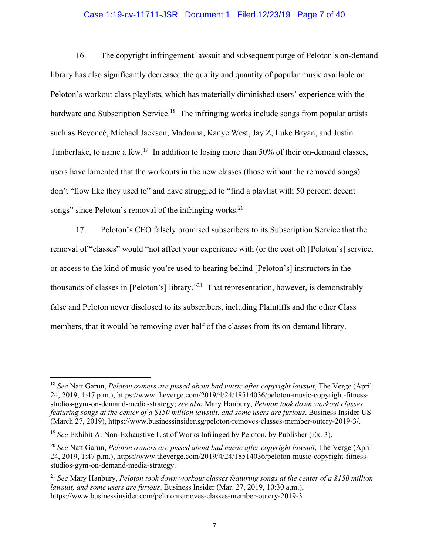# Case 1:19-cv-11711-JSR Document 1 Filed 12/23/19 Page 7 of 40

16. The copyright infringement lawsuit and subsequent purge of Peloton's on-demand library has also significantly decreased the quality and quantity of popular music available on Peloton's workout class playlists, which has materially diminished users' experience with the hardware and Subscription Service.<sup>18</sup> The infringing works include songs from popular artists such as Beyoncé, Michael Jackson, Madonna, Kanye West, Jay Z, Luke Bryan, and Justin Timberlake, to name a few.<sup>19</sup> In addition to losing more than 50% of their on-demand classes, users have lamented that the workouts in the new classes (those without the removed songs) don't "flow like they used to" and have struggled to "find a playlist with 50 percent decent songs" since Peloton's removal of the infringing works.<sup>20</sup>

17. Peloton's CEO falsely promised subscribers to its Subscription Service that the removal of "classes" would "not affect your experience with (or the cost of) [Peloton's] service, or access to the kind of music you're used to hearing behind [Peloton's] instructors in the thousands of classes in [Peloton's] library."<sup>21</sup> That representation, however, is demonstrably false and Peloton never disclosed to its subscribers, including Plaintiffs and the other Class members, that it would be removing over half of the classes from its on-demand library.

 $18$  See Natt Garun, Peloton owners are pissed about bad music after copyright lawsuit. The Verge (April 24, 2019, 1:47 p.m.), https://www.theverge.com/2019/4/24/18514036/peloton-music-copyright-fitnessstudios-gym-on-demand-media-strategy; see also Mary Hanbury, Peloton took down workout classes featuring songs at the center of a \$150 million lawsuit, and some users are furious, Business Insider US (March 27, 2019), https://www.businessinsider.sg/peloton-removes-classes-member-outcry-2019-3/.

<sup>&</sup>lt;sup>19</sup> See Exhibit A: Non-Exhaustive List of Works Infringed by Peloton, by Publisher (Ex. 3).

 $^{20}$  See Natt Garun, Peloton owners are pissed about bad music after copyright lawsuit. The Verge (April 24, 2019, 1:47 p.m.), https://www.theverge.com/2019/4/24/18514036/peloton-music-copyright-fitnessstudios-gym-on-demand-media-strategy.

 $^{21}$  See Mary Hanbury, Peloton took down workout classes featuring songs at the center of a \$150 million lawsuit, and some users are furious, Business Insider (Mar. 27, 2019, 10:30 a.m.), https://www.businessinsider.com/pelotonremoves-classes-member-outcry-2019-3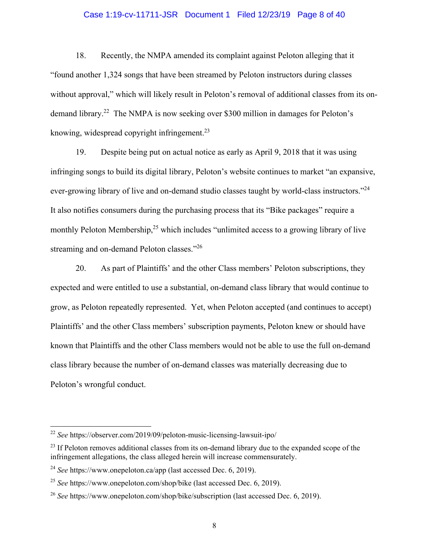### Case 1:19-cv-11711-JSR Document 1 Filed 12/23/19 Page 8 of 40

18. Recently, the NMPA amended its complaint against Peloton alleging that it "found another 1,324 songs that have been streamed by Peloton instructors during classes without approval," which will likely result in Peloton's removal of additional classes from its ondemand library.<sup>22</sup> The NMPA is now seeking over \$300 million in damages for Peloton's knowing, widespread copyright infringement. $^{23}$ 

19. Despite being put on actual notice as early as April 9, 2018 that it was using infringing songs to build its digital library, Peloton's website continues to market "an expansive, ever-growing library of live and on-demand studio classes taught by world-class instructors."<sup>24</sup> It also notifies consumers during the purchasing process that its "Bike packages" require a monthly Peloton Membership,<sup>25</sup> which includes "unlimited access to a growing library of live streaming and on-demand Peloton classes."26

20. As part of Plaintiffs' and the other Class members' Peloton subscriptions, they expected and were entitled to use a substantial, on-demand class library that would continue to grow, as Peloton repeatedly represented. Yet, when Peloton accepted (and continues to accept) Plaintiffs' and the other Class members' subscription payments, Peloton knew or should have known that Plaintiffs and the other Class members would not be able to use the full on-demand class library because the number of on-demand classes was materially decreasing due to Peloton's wrongful conduct.

 $^{22}$  See https://observer.com/2019/09/peloton-music-licensing-lawsuit-ipo/

<sup>&</sup>lt;sup>23</sup> If Peloton removes additional classes from its on-demand library due to the expanded scope of the infringement allegations, the class alleged herein will increase commensurately.

<sup>&</sup>lt;sup>24</sup> See https://www.onepeloton.ca/app (last accessed Dec. 6, 2019).

<sup>&</sup>lt;sup>25</sup> See https://www.onepeloton.com/shop/bike (last accessed Dec. 6, 2019).

<sup>&</sup>lt;sup>26</sup> See https://www.onepeloton.com/shop/bike/subscription (last accessed Dec. 6, 2019).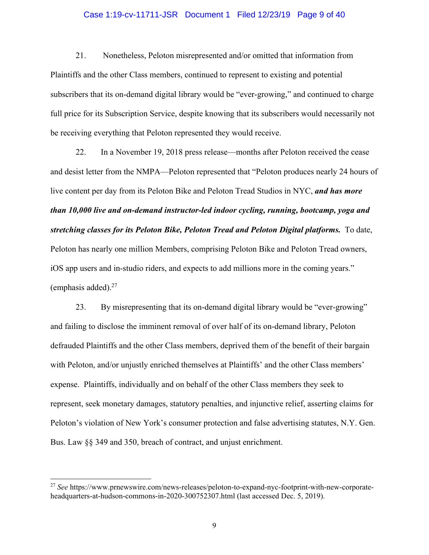### Case 1:19-cv-11711-JSR Document 1 Filed 12/23/19 Page 9 of 40

21. Nonetheless, Peloton misrepresented and/or omitted that information from Plaintiffs and the other Class members, continued to represent to existing and potential subscribers that its on-demand digital library would be "ever-growing," and continued to charge full price for its Subscription Service, despite knowing that its subscribers would necessarily not be receiving everything that Peloton represented they would receive.

22. In a November 19, 2018 press release—months after Peloton received the cease and desist letter from the NMPA—Peloton represented that "Peloton produces nearly 24 hours of live content per day from its Peloton Bike and Peloton Tread Studios in NYC, and has more than 10,000 live and on-demand instructor-led indoor cycling, running, bootcamp, yoga and stretching classes for its Peloton Bike, Peloton Tread and Peloton Digital platforms. To date, Peloton has nearly one million Members, comprising Peloton Bike and Peloton Tread owners, iOS app users and in-studio riders, and expects to add millions more in the coming years." (emphasis added). $27$ 

23. By misrepresenting that its on-demand digital library would be "ever-growing" and failing to disclose the imminent removal of over half of its on-demand library, Peloton defrauded Plaintiffs and the other Class members, deprived them of the benefit of their bargain with Peloton, and/or unjustly enriched themselves at Plaintiffs' and the other Class members' expense. Plaintiffs, individually and on behalf of the other Class members they seek to represent, seek monetary damages, statutory penalties, and injunctive relief, asserting claims for Peloton's violation of New York's consumer protection and false advertising statutes, N.Y. Gen. Bus. Law §§ 349 and 350, breach of contract, and unjust enrichment.

<sup>&</sup>lt;sup>27</sup> See https://www.prnewswire.com/news-releases/peloton-to-expand-nyc-footprint-with-new-corporateheadquarters-at-hudson-commons-in-2020-300752307.html (last accessed Dec. 5, 2019).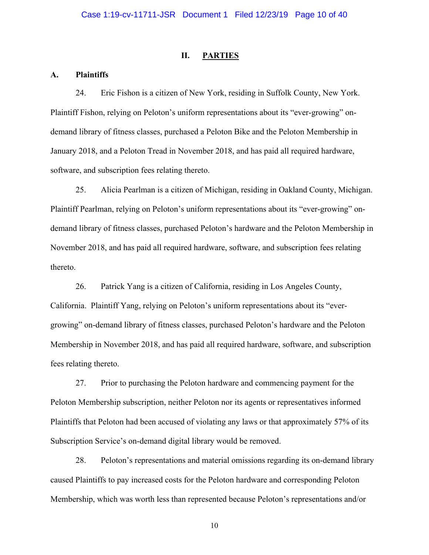#### II. **PARTIES**

#### **Plaintiffs**  $\mathbf{A}$ .

24. Eric Fishon is a citizen of New York, residing in Suffolk County, New York. Plaintiff Fishon, relying on Peloton's uniform representations about its "ever-growing" ondemand library of fitness classes, purchased a Peloton Bike and the Peloton Membership in January 2018, and a Peloton Tread in November 2018, and has paid all required hardware, software, and subscription fees relating thereto.

Alicia Pearlman is a citizen of Michigan, residing in Oakland County, Michigan. 25. Plaintiff Pearlman, relying on Peloton's uniform representations about its "ever-growing" ondemand library of fitness classes, purchased Peloton's hardware and the Peloton Membership in November 2018, and has paid all required hardware, software, and subscription fees relating thereto.

26. Patrick Yang is a citizen of California, residing in Los Angeles County, California. Plaintiff Yang, relying on Peloton's uniform representations about its "evergrowing" on-demand library of fitness classes, purchased Peloton's hardware and the Peloton Membership in November 2018, and has paid all required hardware, software, and subscription fees relating thereto.

27. Prior to purchasing the Peloton hardware and commencing payment for the Peloton Membership subscription, neither Peloton nor its agents or representatives informed Plaintiffs that Peloton had been accused of violating any laws or that approximately 57% of its Subscription Service's on-demand digital library would be removed.

28. Peloton's representations and material omissions regarding its on-demand library caused Plaintiffs to pay increased costs for the Peloton hardware and corresponding Peloton Membership, which was worth less than represented because Peloton's representations and/or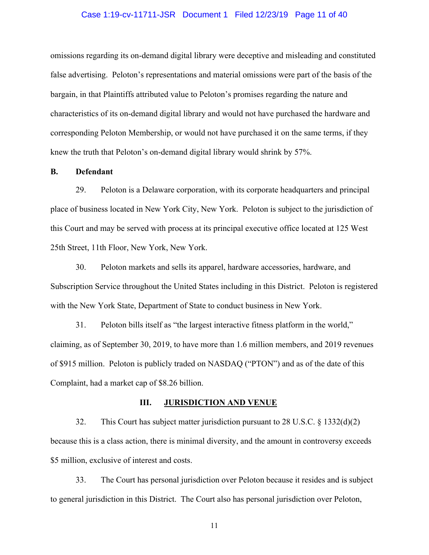### Case 1:19-cv-11711-JSR Document 1 Filed 12/23/19 Page 11 of 40

omissions regarding its on-demand digital library were deceptive and misleading and constituted false advertising. Peloton's representations and material omissions were part of the basis of the bargain, in that Plaintiffs attributed value to Peloton's promises regarding the nature and characteristics of its on-demand digital library and would not have purchased the hardware and corresponding Peloton Membership, or would not have purchased it on the same terms, if they knew the truth that Peloton's on-demand digital library would shrink by 57%.

#### **Defendant**  $\mathbf{B}$ .

29. Peloton is a Delaware corporation, with its corporate headquarters and principal place of business located in New York City, New York. Peloton is subject to the jurisdiction of this Court and may be served with process at its principal executive office located at 125 West 25th Street, 11th Floor, New York, New York.

30. Peloton markets and sells its apparel, hardware accessories, hardware, and Subscription Service throughout the United States including in this District. Peloton is registered with the New York State, Department of State to conduct business in New York.

31. Peloton bills itself as "the largest interactive fitness platform in the world," claiming, as of September 30, 2019, to have more than 1.6 million members, and 2019 revenues of \$915 million. Peloton is publicly traded on NASDAQ ("PTON") and as of the date of this Complaint, had a market cap of \$8.26 billion.

#### Ш. **JURISDICTION AND VENUE**

32. This Court has subject matter jurisdiction pursuant to 28 U.S.C.  $\S$  1332(d)(2) because this is a class action, there is minimal diversity, and the amount in controversy exceeds \$5 million, exclusive of interest and costs.

33. The Court has personal jurisdiction over Peloton because it resides and is subject to general jurisdiction in this District. The Court also has personal jurisdiction over Peloton,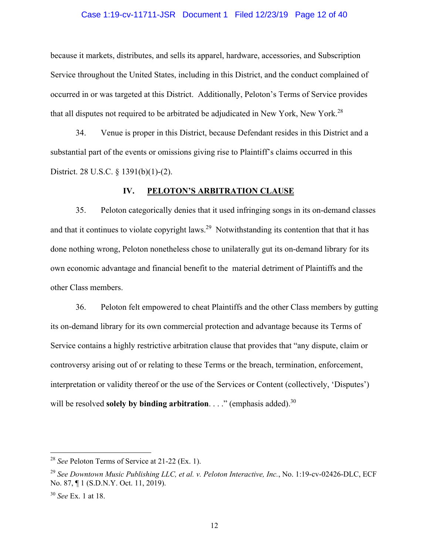### Case 1:19-cv-11711-JSR Document 1 Filed 12/23/19 Page 12 of 40

because it markets, distributes, and sells its apparel, hardware, accessories, and Subscription Service throughout the United States, including in this District, and the conduct complained of occurred in or was targeted at this District. Additionally, Peloton's Terms of Service provides that all disputes not required to be arbitrated be adjudicated in New York, New York.<sup>28</sup>

Venue is proper in this District, because Defendant resides in this District and a 34. substantial part of the events or omissions giving rise to Plaintiff's claims occurred in this District. 28 U.S.C. § 1391(b)(1)-(2).

#### PELOTON'S ARBITRATION CLAUSE IV.

Peloton categorically denies that it used infringing songs in its on-demand classes 35. and that it continues to violate copyright laws.<sup>29</sup> Notwithstanding its contention that that it has done nothing wrong, Peloton nonetheless chose to unilaterally gut its on-demand library for its own economic advantage and financial benefit to the material detriment of Plaintiffs and the other Class members.

Peloton felt empowered to cheat Plaintiffs and the other Class members by gutting 36. its on-demand library for its own commercial protection and advantage because its Terms of Service contains a highly restrictive arbitration clause that provides that "any dispute, claim or controversy arising out of or relating to these Terms or the breach, termination, enforcement, interpretation or validity thereof or the use of the Services or Content (collectively, 'Disputes') will be resolved **solely by binding arbitration.** . . ." (emphasis added).<sup>30</sup>

<sup>&</sup>lt;sup>28</sup> See Peloton Terms of Service at 21-22 (Ex. 1).

<sup>&</sup>lt;sup>29</sup> See Downtown Music Publishing LLC, et al. v. Peloton Interactive, Inc., No. 1:19-cv-02426-DLC, ECF No. 87, ¶ 1 (S.D.N.Y. Oct. 11, 2019).

 $30$  See Ex. 1 at 18.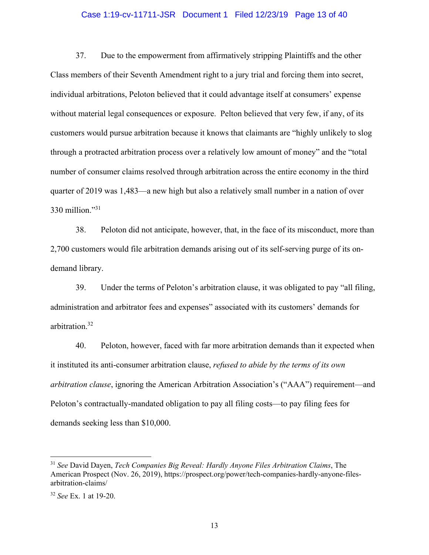### Case 1:19-cv-11711-JSR Document 1 Filed 12/23/19 Page 13 of 40

37. Due to the empowerment from affirmatively stripping Plaintiffs and the other Class members of their Seventh Amendment right to a jury trial and forcing them into secret, individual arbitrations, Peloton believed that it could advantage itself at consumers' expense without material legal consequences or exposure. Pelton believed that very few, if any, of its customers would pursue arbitration because it knows that claimants are "highly unlikely to slog through a protracted arbitration process over a relatively low amount of money" and the "total number of consumer claims resolved through arbitration across the entire economy in the third quarter of 2019 was 1,483—a new high but also a relatively small number in a nation of over 330 million." $31$ 

Peloton did not anticipate, however, that, in the face of its misconduct, more than 38. 2,700 customers would file arbitration demands arising out of its self-serving purge of its ondemand library.

39. Under the terms of Peloton's arbitration clause, it was obligated to pay "all filing, administration and arbitrator fees and expenses" associated with its customers' demands for arbitration.<sup>32</sup>

40. Peloton, however, faced with far more arbitration demands than it expected when it instituted its anti-consumer arbitration clause, *refused to abide by the terms of its own arbitration clause*, ignoring the American Arbitration Association's ("AAA") requirement—and Peloton's contractually-mandated obligation to pay all filing costs—to pay filing fees for demands seeking less than \$10,000.

<sup>&</sup>lt;sup>31</sup> See David Dayen, Tech Companies Big Reveal: Hardly Anyone Files Arbitration Claims, The American Prospect (Nov. 26, 2019), https://prospect.org/power/tech-companies-hardly-anyone-filesarbitration-claims/

 $32$  See Ex. 1 at 19-20.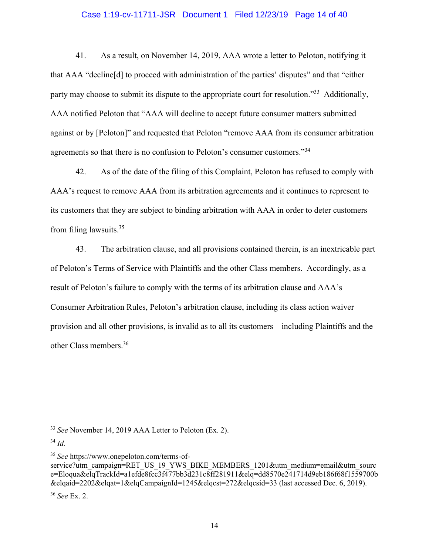# Case 1:19-cv-11711-JSR Document 1 Filed 12/23/19 Page 14 of 40

41. As a result, on November 14, 2019, AAA wrote a letter to Peloton, notifying it that AAA "decline [d] to proceed with administration of the parties' disputes" and that "either party may choose to submit its dispute to the appropriate court for resolution."<sup>33</sup> Additionally, AAA notified Peloton that "AAA will decline to accept future consumer matters submitted against or by [Peloton]" and requested that Peloton "remove AAA from its consumer arbitration agreements so that there is no confusion to Peloton's consumer customers."34

42. As of the date of the filing of this Complaint, Peloton has refused to comply with AAA's request to remove AAA from its arbitration agreements and it continues to represent to its customers that they are subject to binding arbitration with AAA in order to deter customers from filing lawsuits. $35$ 

43. The arbitration clause, and all provisions contained therein, is an inextricable part of Peloton's Terms of Service with Plaintiffs and the other Class members. Accordingly, as a result of Peloton's failure to comply with the terms of its arbitration clause and AAA's Consumer Arbitration Rules, Peloton's arbitration clause, including its class action waiver provision and all other provisions, is invalid as to all its customers—including Plaintiffs and the other Class members.<sup>36</sup>

<sup>35</sup> See https://www.onepeloton.com/terms-ofservice?utm campaign=RET US 19 YWS BIKE MEMBERS 1201&utm medium=email&utm sourc e=Eloqua&elqTrackId=a1efde8fcc3f477bb3d231c8ff281911&elq=dd8570e241714d9eb186f68f1559700b &elgaid=2202&elgat=1&elgCampaignId=1245&elgcst=272&elgcsid=33 (last accessed Dec. 6, 2019).

 $36$  See Ex. 2.

<sup>&</sup>lt;sup>33</sup> See November 14, 2019 AAA Letter to Peloton (Ex. 2).

 $34$  *Id.*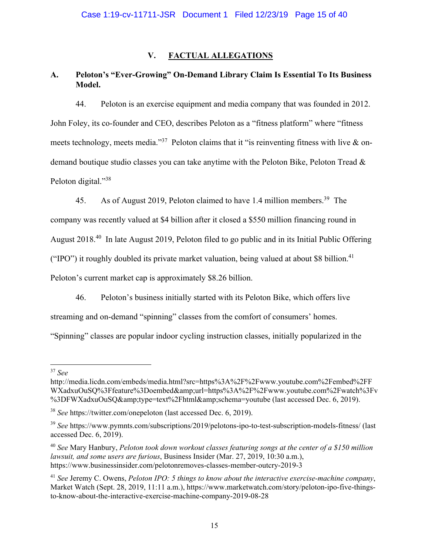#### $V_{\cdot}$ **FACTUAL ALLEGATIONS**

#### Peloton's "Ever-Growing" On-Demand Library Claim Is Essential To Its Business  $\mathbf{A}$ . Model.

44. Peloton is an exercise equipment and media company that was founded in 2012. John Foley, its co-founder and CEO, describes Peloton as a "fitness platform" where "fitness meets technology, meets media."<sup>37</sup> Peloton claims that it "is reinventing fitness with live  $\&$  ondemand boutique studio classes you can take anytime with the Peloton Bike, Peloton Tread & Peloton digital."38

As of August 2019, Peloton claimed to have 1.4 million members.<sup>39</sup> The 45. company was recently valued at \$4 billion after it closed a \$550 million financing round in August 2018.<sup>40</sup> In late August 2019, Peloton filed to go public and in its Initial Public Offering ("IPO") it roughly doubled its private market valuation, being valued at about \$8 billion.<sup>41</sup> Peloton's current market cap is approximately \$8.26 billion.

46. Peloton's business initially started with its Peloton Bike, which offers live

streaming and on-demand "spinning" classes from the comfort of consumers' homes.

"Spinning" classes are popular indoor cycling instruction classes, initially popularized in the

 $37$  See

http://media.licdn.com/embeds/media.html?src=https%3A%2F%2Fwww.youtube.com%2Fembed%2FF WXadxuOuSQ%3Ffeature%3Doembed&url=https%3A%2F%2Fwww.youtube.com%2Fwatch%3Fv %3DFWXadxuOuSQ&type=text%2Fhtml&schema=youtube (last accessed Dec. 6, 2019).

<sup>&</sup>lt;sup>38</sup> See https://twitter.com/onepeloton (last accessed Dec. 6, 2019).

<sup>&</sup>lt;sup>39</sup> See https://www.pymnts.com/subscriptions/2019/pelotons-ipo-to-test-subscription-models-fitness/ (last accessed Dec. 6, 2019).

 $40$  See Mary Hanbury, Peloton took down workout classes featuring songs at the center of a \$150 million *lawsuit, and some users are furious, Business Insider (Mar. 27, 2019, 10:30 a.m.),* https://www.businessinsider.com/pelotonremoves-classes-member-outcry-2019-3

 $41$  See Jeremy C. Owens, Peloton IPO: 5 things to know about the interactive exercise-machine company, Market Watch (Sept. 28, 2019, 11:11 a.m.), https://www.marketwatch.com/story/peloton-ipo-five-thingsto-know-about-the-interactive-exercise-machine-company-2019-08-28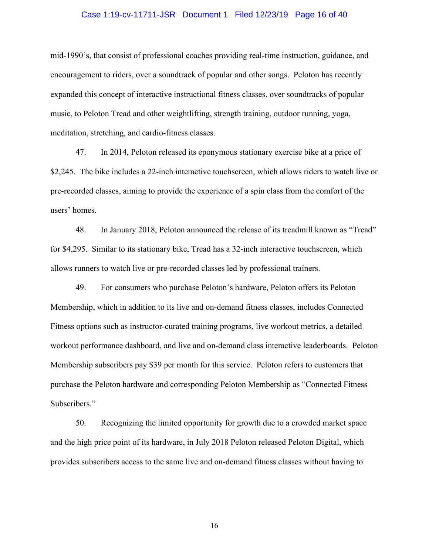# Case 1:19-cv-11711-JSR Document 1 Filed 12/23/19 Page 16 of 40

mid-1990's, that consist of professional coaches providing real-time instruction, guidance, and encouragement to riders, over a soundtrack of popular and other songs. Peloton has recently expanded this concept of interactive instructional fitness classes, over sound tracks of popular music, to Peloton Tread and other weightlifting, strength training, outdoor running, yoga, meditation, stretching, and cardio-fitness classes.

47. In 2014, Peloton released its eponymous stationary exercise bike at a price of \$2,245. The bike includes a 22-inch interactive touchscreen, which allows riders to watch live or pre-recorded classes, aiming to provide the experience of a spin class from the comfort of the users' homes.

48. In January 2018, Peloton announced the release of its treadmill known as "Tread" for \$4,295. Similar to its stationary bike, Tread has a 32-inch interactive touchscreen, which allows runners to watch live or pre-recorded classes led by professional trainers.

49. For consumers who purchase Peloton's hardware, Peloton offers its Peloton Membership, which in addition to its live and on-demand fitness classes, includes Connected Fitness options such as instructor-curated training programs, live workout metrics, a detailed workout performance dashboard, and live and on-demand class interactive leaderboards. Peloton Membership subscribers pay \$39 per month for this service. Peloton refers to customers that purchase the Peloton hardware and corresponding Peloton Membership as "Connected Fitness" Subscribers."

50. Recognizing the limited opportunity for growth due to a crowded market space and the high price point of its hardware, in July 2018 Peloton released Peloton Digital, which provides subscribers access to the same live and on-demand fitness classes without having to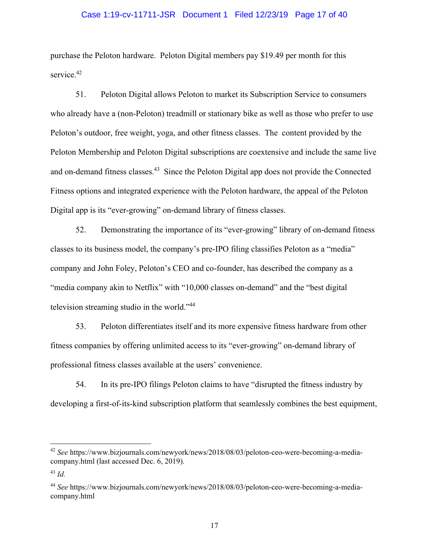### Case 1:19-cv-11711-JSR Document 1 Filed 12/23/19 Page 17 of 40

purchase the Peloton hardware. Peloton Digital members pay \$19.49 per month for this service.<sup>42</sup>

Peloton Digital allows Peloton to market its Subscription Service to consumers 51. who already have a (non-Peloton) treadmill or stationary bike as well as those who prefer to use Peloton's outdoor, free weight, yoga, and other fitness classes. The content provided by the Peloton Membership and Peloton Digital subscriptions are coextensive and include the same live and on-demand fitness classes.<sup>43</sup> Since the Peloton Digital app does not provide the Connected Fitness options and integrated experience with the Peloton hardware, the appeal of the Peloton Digital app is its "ever-growing" on-demand library of fitness classes.

52. Demonstrating the importance of its "ever-growing" library of on-demand fitness classes to its business model, the company's pre-IPO filing classifies Peloton as a "media" company and John Foley, Peloton's CEO and co-founder, has described the company as a "media company akin to Netflix" with "10,000 classes on-demand" and the "best digital" television streaming studio in the world."<sup>44</sup>

53. Peloton differentiates itself and its more expensive fitness hardware from other fitness companies by offering unlimited access to its "ever-growing" on-demand library of professional fitness classes available at the users' convenience.

54. In its pre-IPO filings Peloton claims to have "disrupted the fitness industry by developing a first-of-its-kind subscription platform that seamlessly combines the best equipment,

<sup>&</sup>lt;sup>42</sup> See https://www.bizjournals.com/newyork/news/2018/08/03/peloton-ceo-were-becoming-a-mediacompany.html (last accessed Dec. 6, 2019).

 $^{43}$  Id.

<sup>&</sup>lt;sup>44</sup> See https://www.bizjournals.com/newyork/news/2018/08/03/peloton-ceo-were-becoming-a-mediacompany.html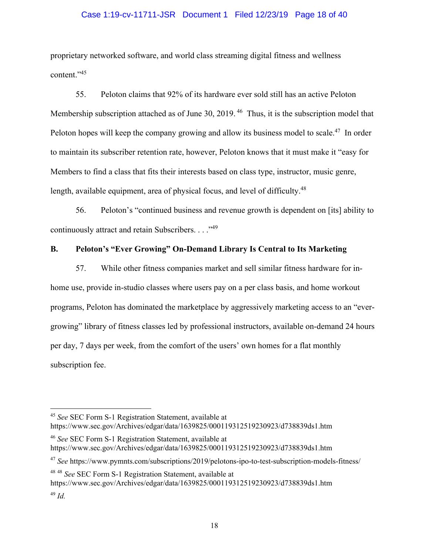## Case 1:19-cv-11711-JSR Document 1 Filed 12/23/19 Page 18 of 40

proprietary networked software, and world class streaming digital fitness and wellness content." 45

55. Peloton claims that 92% of its hardware ever sold still has an active Peloton Membership subscription attached as of June 30, 2019.<sup>46</sup> Thus, it is the subscription model that Peloton hopes will keep the company growing and allow its business model to scale.<sup>47</sup> In order to maintain its subscriber retention rate, however, Peloton knows that it must make it "easy for Members to find a class that fits their interests based on class type, instructor, music genre, length, available equipment, area of physical focus, and level of difficulty.<sup>48</sup>

Peloton's "continued business and revenue growth is dependent on [its] ability to 56. continuously attract and retain Subscribers. . . . "49

#### Peloton's "Ever Growing" On-Demand Library Is Central to Its Marketing **B.**

57. While other fitness companies market and sell similar fitness hardware for inhome use, provide in-studio classes where users pay on a per class basis, and home workout programs, Peloton has dominated the marketplace by aggressively marketing access to an "evergrowing" library of fitness classes led by professional instructors, available on-demand 24 hours per day, 7 days per week, from the comfort of the users' own homes for a flat monthly subscription fee.

<sup>47</sup> See https://www.pymnts.com/subscriptions/2019/pelotons-ipo-to-test-subscription-models-fitness/

<sup>48 48</sup> See SEC Form S-1 Registration Statement, available at https://www.sec.gov/Archives/edgar/data/1639825/000119312519230923/d738839ds1.htm  $49$  Id.

<sup>&</sup>lt;sup>45</sup> See SEC Form S-1 Registration Statement, available at

https://www.sec.gov/Archives/edgar/data/1639825/000119312519230923/d738839ds1.htm

<sup>&</sup>lt;sup>46</sup> See SEC Form S-1 Registration Statement, available at https://www.sec.gov/Archives/edgar/data/1639825/000119312519230923/d738839ds1.htm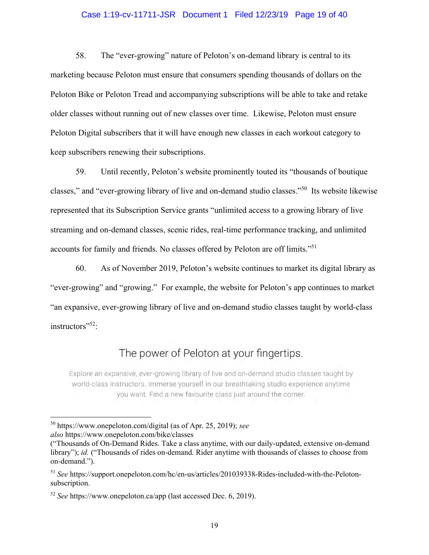# Case 1:19-cv-11711-JSR Document 1 Filed 12/23/19 Page 19 of 40

58. The "ever-growing" nature of Peloton's on-demand library is central to its marketing because Peloton must ensure that consumers spending thousands of dollars on the Peloton Bike or Peloton Tread and accompanying subscriptions will be able to take and retake older classes without running out of new classes over time. Likewise, Peloton must ensure Peloton Digital subscribers that it will have enough new classes in each workout category to keep subscribers renewing their subscriptions.

59. Until recently, Peloton's website prominently touted its "thousands of boutique" classes," and "ever-growing library of live and on-demand studio classes."<sup>50</sup> Its website likewise represented that its Subscription Service grants "unlimited access to a growing library of live streaming and on-demand classes, scenic rides, real-time performance tracking, and unlimited accounts for family and friends. No classes offered by Peloton are off limits."<sup>51</sup>

60. As of November 2019, Peloton's website continues to market its digital library as "ever-growing" and "growing." For example, the website for Peloton's app continues to market "an expansive, ever-growing library of live and on-demand studio classes taught by world-class instructors"<sup>52</sup>:

# The power of Peloton at your fingertips.

Explore an expansive, ever-growing library of live and on-demand studio classes taught by world-class instructors. Immerse yourself in our breathtaking studio experience anytime you want. Find a new favourite class just around the corner.

 $50$  https://www.onepeloton.com/digital (as of Apr. 25, 2019); see also https://www.onepeloton.com/bike/classes

<sup>(&</sup>quot;Thousands of On-Demand Rides. Take a class anytime, with our daily-updated, extensive on-demand library"); id. ("Thousands of rides on-demand. Rider anytime with thousands of classes to choose from on-demand.").

<sup>&</sup>lt;sup>51</sup> See https://support.onepeloton.com/hc/en-us/articles/201039338-Rides-included-with-the-Pelotonsubscription.

 $52$  See https://www.onepeloton.ca/app (last accessed Dec. 6, 2019).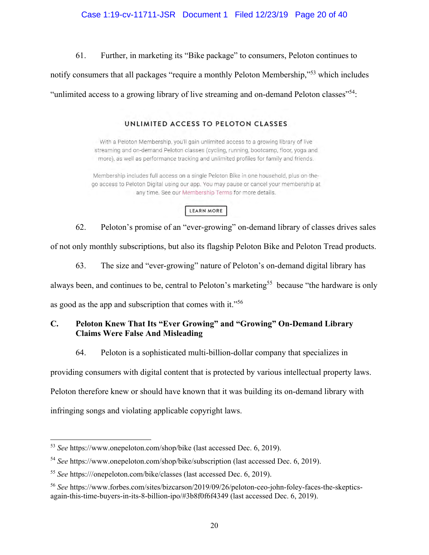# Case 1:19-cv-11711-JSR Document 1 Filed 12/23/19 Page 20 of 40

61. Further, in marketing its "Bike package" to consumers, Peloton continues to

notify consumers that all packages "require a monthly Peloton Membership,"<sup>53</sup> which includes

"unlimited access to a growing library of live streaming and on-demand Peloton classes"<sup>54</sup>:

# UNLIMITED ACCESS TO PELOTON CLASSES

With a Peloton Membership, you'll gain unlimited access to a growing library of live streaming and on-demand Peloton classes (cycling, running, bootcamp, floor, yoga and more), as well as performance tracking and unlimited profiles for family and friends.

Membership includes full access on a single Peloton Bike in one household, plus on-thego access to Peloton Digital using our app. You may pause or cancel your membership at any time. See our Membership Terms for more details.

# LEARN MORE

Peloton's promise of an "ever-growing" on-demand library of classes drives sales 62. of not only monthly subscriptions, but also its flagship Peloton Bike and Peloton Tread products.

63. The size and "ever-growing" nature of Peloton's on-demand digital library has

always been, and continues to be, central to Peloton's marketing<sup>55</sup> because "the hardware is only

as good as the app and subscription that comes with it."56

#### $\mathbf{C}$ . Peloton Knew That Its "Ever Growing" and "Growing" On-Demand Library **Claims Were False And Misleading**

64. Peloton is a sophisticated multi-billion-dollar company that specializes in

providing consumers with digital content that is protected by various intellectual property laws.

Peloton therefore knew or should have known that it was building its on-demand library with

infringing songs and violating applicable copyright laws.

 $53$  See https://www.onepeloton.com/shop/bike (last accessed Dec. 6, 2019).

 $54$  See https://www.onepeloton.com/shop/bike/subscription (last accessed Dec. 6, 2019).

<sup>&</sup>lt;sup>55</sup> See https:///onepeloton.com/bike/classes (last accessed Dec. 6, 2019).

<sup>&</sup>lt;sup>56</sup> See https://www.forbes.com/sites/bizcarson/2019/09/26/peloton-ceo-john-foley-faces-the-skepticsagain-this-time-buyers-in-its-8-billion-ipo/#3b8f0f6f4349 (last accessed Dec. 6, 2019).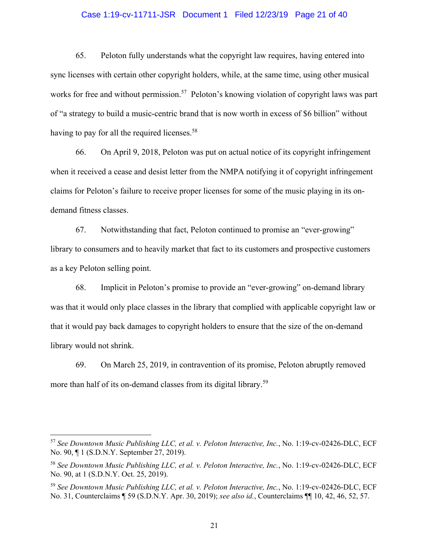### Case 1:19-cv-11711-JSR Document 1 Filed 12/23/19 Page 21 of 40

65. Peloton fully understands what the copyright law requires, having entered into sync licenses with certain other copyright holders, while, at the same time, using other musical works for free and without permission.<sup>57</sup> Peloton's knowing violation of copyright laws was part of "a strategy to build a music-centric brand that is now worth in excess of \$6 billion" without having to pay for all the required licenses.<sup>58</sup>

On April 9, 2018, Peloton was put on actual notice of its copyright infringement 66. when it received a cease and desist letter from the NMPA notifying it of copyright infringement claims for Peloton's failure to receive proper licenses for some of the music playing in its ondemand fitness classes.

Notwithstanding that fact, Peloton continued to promise an "ever-growing" 67. library to consumers and to heavily market that fact to its customers and prospective customers as a key Peloton selling point.

Implicit in Peloton's promise to provide an "ever-growing" on-demand library 68. was that it would only place classes in the library that complied with applicable copyright law or that it would pay back damages to copyright holders to ensure that the size of the on-demand library would not shrink.

69. On March 25, 2019, in contravention of its promise, Peloton abruptly removed more than half of its on-demand classes from its digital library.<sup>59</sup>

<sup>&</sup>lt;sup>57</sup> See Downtown Music Publishing LLC, et al. v. Peloton Interactive, Inc., No. 1:19-cv-02426-DLC, ECF No. 90, 1 (S.D.N.Y. September 27, 2019).

<sup>&</sup>lt;sup>58</sup> See Downtown Music Publishing LLC, et al. v. Peloton Interactive, Inc., No. 1:19-cv-02426-DLC, ECF No. 90, at 1 (S.D.N.Y. Oct. 25, 2019).

<sup>&</sup>lt;sup>59</sup> See Downtown Music Publishing LLC, et al. v. Peloton Interactive, Inc., No. 1:19-cv-02426-DLC, ECF No. 31, Counterclaims ¶ 59 (S.D.N.Y. Apr. 30, 2019); see also id., Counterclaims ¶ 10, 42, 46, 52, 57.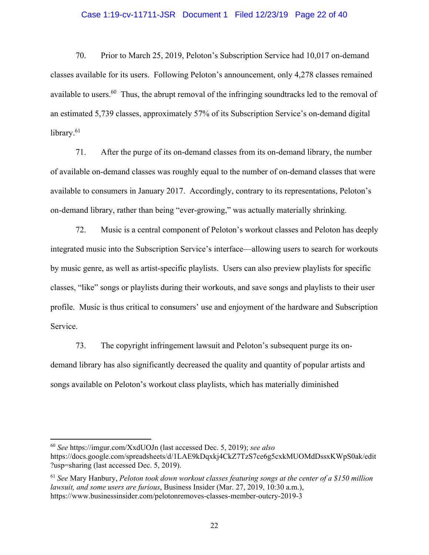# Case 1:19-cv-11711-JSR Document 1 Filed 12/23/19 Page 22 of 40

70. Prior to March 25, 2019, Peloton's Subscription Service had 10,017 on-demand classes available for its users. Following Peloton's announcement, only 4,278 classes remained available to users.<sup>60</sup> Thus, the abrupt removal of the infringing sound tracks led to the removal of an estimated 5,739 classes, approximately 57% of its Subscription Service's on-demand digital library. $61$ 

71. After the purge of its on-demand classes from its on-demand library, the number of available on-demand classes was roughly equal to the number of on-demand classes that were available to consumers in January 2017. Accordingly, contrary to its representations, Peloton's on-demand library, rather than being "ever-growing," was actually materially shrinking.

72. Music is a central component of Peloton's workout classes and Peloton has deeply integrated music into the Subscription Service's interface—allowing users to search for workouts by music genre, as well as artist-specific playlists. Users can also preview playlists for specific classes, "like" songs or playlists during their workouts, and save songs and playlists to their user profile. Music is thus critical to consumers' use and enjoyment of the hardware and Subscription Service.

73. The copyright infringement lawsuit and Peloton's subsequent purge its ondemand library has also significantly decreased the quality and quantity of popular artists and songs available on Peloton's workout class playlists, which has materially diminished

 $^{60}$  See https://imgur.com/XxdUOJn (last accessed Dec. 5, 2019); see also https://docs.google.com/spreadsheets/d/1LAE9kDqxkj4CkZ7TzS7ce6g5cxkMUOMdDssxKWpS0ak/edit

<sup>?</sup>usp=sharing (last accessed Dec. 5, 2019).

 $61$  See Mary Hanbury, Peloton took down workout classes featuring songs at the center of a \$150 million lawsuit, and some users are furious, Business Insider (Mar. 27, 2019, 10:30 a.m.), https://www.businessinsider.com/pelotonremoves-classes-member-outcry-2019-3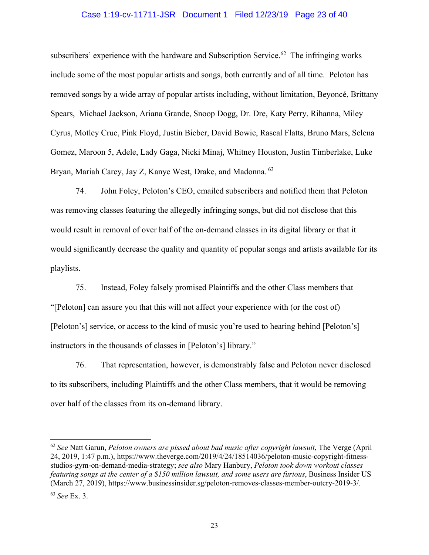### Case 1:19-cv-11711-JSR Document 1 Filed 12/23/19 Page 23 of 40

subscribers' experience with the hardware and Subscription Service.<sup>62</sup> The infringing works include some of the most popular artists and songs, both currently and of all time. Peloton has removed songs by a wide array of popular artists including, without limitation, Beyoncé, Brittany Spears, Michael Jackson, Ariana Grande, Snoop Dogg, Dr. Dre, Katy Perry, Rihanna, Miley Cyrus, Motley Crue, Pink Floyd, Justin Bieber, David Bowie, Rascal Flatts, Bruno Mars, Selena Gomez, Maroon 5, Adele, Lady Gaga, Nicki Minaj, Whitney Houston, Justin Timberlake, Luke Brvan, Mariah Carey, Jay Z. Kanye West, Drake, and Madonna. 63

John Foley, Peloton's CEO, emailed subscribers and notified them that Peloton 74. was removing classes featuring the allegedly infringing songs, but did not disclose that this would result in removal of over half of the on-demand classes in its digital library or that it would significantly decrease the quality and quantity of popular songs and artists available for its playlists.

75. Instead, Foley falsely promised Plaintiffs and the other Class members that "[Peloton] can assure you that this will not affect your experience with (or the cost of) [Peloton's] service, or access to the kind of music you're used to hearing behind [Peloton's] instructors in the thousands of classes in [Peloton's] library."

76. That representation, however, is demonstrably false and Peloton never disclosed to its subscribers, including Plaintiffs and the other Class members, that it would be removing over half of the classes from its on-demand library.

 $62$  See Natt Garun, Peloton owners are pissed about bad music after copyright lawsuit. The Verge (April 24, 2019, 1:47 p.m.), https://www.theverge.com/2019/4/24/18514036/peloton-music-copyright-fitnessstudios-gym-on-demand-media-strategy; see also Mary Hanbury, Peloton took down workout classes featuring songs at the center of a \$150 million lawsuit, and some users are furious, Business Insider US (March 27, 2019), https://www.businessinsider.sg/peloton-removes-classes-member-outcry-2019-3/.

 $63$  See Ex. 3.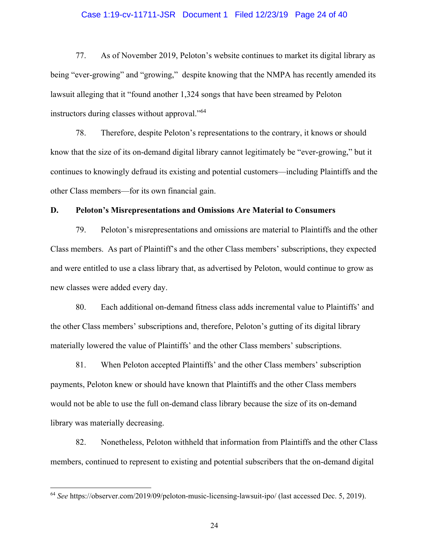### Case 1:19-cv-11711-JSR Document 1 Filed 12/23/19 Page 24 of 40

77. As of November 2019, Peloton's website continues to market its digital library as being "ever-growing" and "growing," despite knowing that the NMPA has recently amended its lawsuit alleging that it "found another 1,324 songs that have been streamed by Peloton instructors during classes without approval."<sup>64</sup>

78. Therefore, despite Peloton's representations to the contrary, it knows or should know that the size of its on-demand digital library cannot legitimately be "ever-growing," but it continues to knowingly defraud its existing and potential customers—including Plaintiffs and the other Class members—for its own financial gain.

#### D. **Peloton's Misrepresentations and Omissions Are Material to Consumers**

79. Peloton's misrepresentations and omissions are material to Plaintiffs and the other Class members. As part of Plaintiff's and the other Class members' subscriptions, they expected and were entitled to use a class library that, as advertised by Peloton, would continue to grow as new classes were added every day.

Each additional on-demand fitness class adds incremental value to Plaintiffs' and 80. the other Class members' subscriptions and, therefore, Peloton's gutting of its digital library materially lowered the value of Plaintiffs' and the other Class members' subscriptions.

81. When Peloton accepted Plaintiffs' and the other Class members' subscription payments, Peloton knew or should have known that Plaintiffs and the other Class members would not be able to use the full on-demand class library because the size of its on-demand library was materially decreasing.

82. Nonetheless, Peloton withheld that information from Plaintiffs and the other Class members, continued to represent to existing and potential subscribers that the on-demand digital

<sup>&</sup>lt;sup>64</sup> See https://observer.com/2019/09/peloton-music-licensing-lawsuit-ipo/ (last accessed Dec. 5, 2019).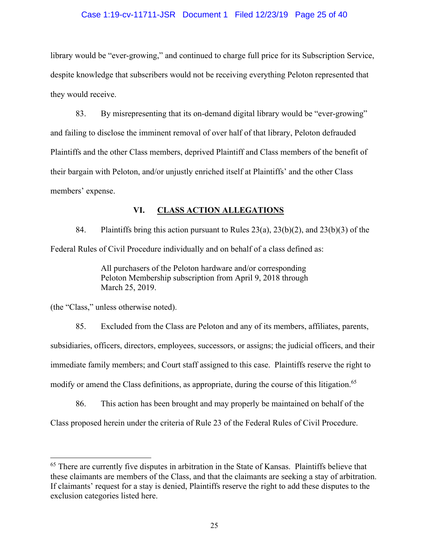# Case 1:19-cv-11711-JSR Document 1 Filed 12/23/19 Page 25 of 40

library would be "ever-growing," and continued to charge full price for its Subscription Service, despite knowledge that subscribers would not be receiving everything Peloton represented that they would receive.

83. By misrepresenting that its on-demand digital library would be "ever-growing" and failing to disclose the imminent removal of over half of that library, Peloton defrauded Plaintiffs and the other Class members, deprived Plaintiff and Class members of the benefit of their bargain with Peloton, and/or unjustly enriched itself at Plaintiffs' and the other Class members' expense.

#### VI. **CLASS ACTION ALLEGATIONS**

84. Plaintiffs bring this action pursuant to Rules  $23(a)$ ,  $23(b)(2)$ , and  $23(b)(3)$  of the Federal Rules of Civil Procedure individually and on behalf of a class defined as:

> All purchasers of the Peloton hardware and/or corresponding Peloton Membership subscription from April 9, 2018 through March 25, 2019.

(the "Class," unless otherwise noted).

85. Excluded from the Class are Peloton and any of its members, affiliates, parents, subsidiaries, officers, directors, employees, successors, or assigns; the judicial officers, and their immediate family members; and Court staff assigned to this case. Plaintiffs reserve the right to modify or amend the Class definitions, as appropriate, during the course of this litigation.<sup>65</sup>

86. This action has been brought and may properly be maintained on behalf of the Class proposed herein under the criteria of Rule 23 of the Federal Rules of Civil Procedure.

<sup>&</sup>lt;sup>65</sup> There are currently five disputes in arbitration in the State of Kansas. Plaintiffs believe that these claimants are members of the Class, and that the claimants are seeking a stay of arbitration. If claimants' request for a stay is denied, Plaintiffs reserve the right to add these disputes to the exclusion categories listed here.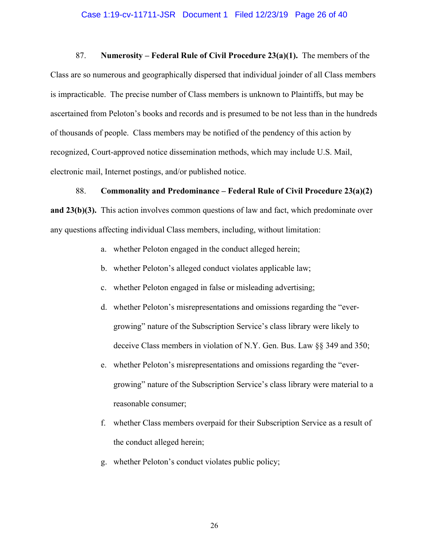### Case 1:19-cv-11711-JSR Document 1 Filed 12/23/19 Page 26 of 40

87. Numerosity – Federal Rule of Civil Procedure  $23(a)(1)$ . The members of the Class are so numerous and geographically dispersed that individual joinder of all Class members is impracticable. The precise number of Class members is unknown to Plaintiffs, but may be ascertained from Peloton's books and records and is presumed to be not less than in the hundreds of thousands of people. Class members may be notified of the pendency of this action by recognized, Court-approved notice dissemination methods, which may include U.S. Mail, electronic mail, Internet postings, and/or published notice.

#### 88. **Commonality and Predominance – Federal Rule of Civil Procedure 23(a)(2)**

and  $23(b)(3)$ . This action involves common questions of law and fact, which predominate over any questions affecting individual Class members, including, without limitation:

- a. whether Peloton engaged in the conduct alleged herein;
- b. whether Peloton's alleged conduct violates applicable law;
- c. whether Peloton engaged in false or misleading advertising;
- d. whether Peloton's misrepresentations and omissions regarding the "evergrowing" nature of the Subscription Service's class library were likely to deceive Class members in violation of N.Y. Gen. Bus. Law §§ 349 and 350;
- e. whether Peloton's misrepresentations and omissions regarding the "evergrowing" nature of the Subscription Service's class library were material to a reasonable consumer;
- f. whether Class members overpaid for their Subscription Service as a result of the conduct alleged herein;
- g. whether Peloton's conduct violates public policy;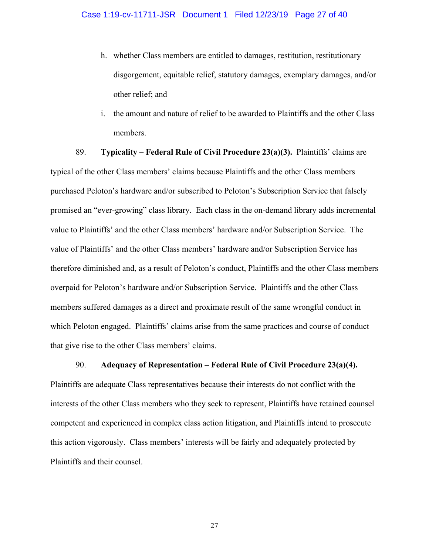- h. whether Class members are entitled to damages, restitution, restitutionary disgorgement, equitable relief, statutory damages, exemplary damages, and/or other relief; and
- the amount and nature of relief to be awarded to Plaintiffs and the other Class  $i$ . members.

89. **Typicality – Federal Rule of Civil Procedure 23(a)(3).** Plaintiffs' claims are typical of the other Class members' claims because Plaintiffs and the other Class members purchased Peloton's hardware and/or subscribed to Peloton's Subscription Service that falsely promised an "ever-growing" class library. Each class in the on-demand library adds incremental value to Plaintiffs' and the other Class members' hardware and/or Subscription Service. The value of Plaintiffs' and the other Class members' hardware and/or Subscription Service has therefore diminished and, as a result of Peloton's conduct, Plaintiffs and the other Class members overpaid for Peloton's hardware and/or Subscription Service. Plaintiffs and the other Class members suffered damages as a direct and proximate result of the same wrongful conduct in which Peloton engaged. Plaintiffs' claims arise from the same practices and course of conduct that give rise to the other Class members' claims.

90. Adequacy of Representation – Federal Rule of Civil Procedure  $23(a)(4)$ . Plaintiffs are adequate Class representatives because their interests do not conflict with the interests of the other Class members who they seek to represent, Plaintiffs have retained counsel competent and experienced in complex class action litigation, and Plaintiffs intend to prosecute this action vigorously. Class members' interests will be fairly and adequately protected by Plaintiffs and their counsel.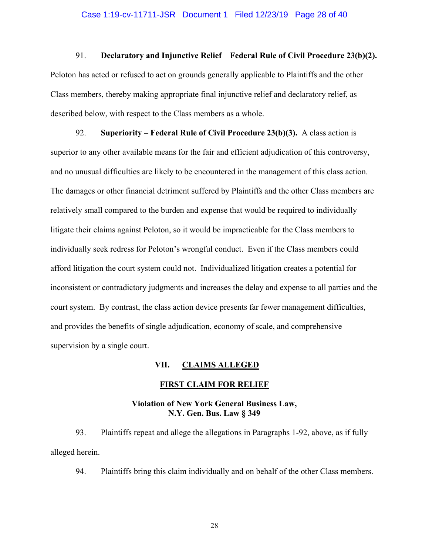### Case 1:19-cv-11711-JSR Document 1 Filed 12/23/19 Page 28 of 40

#### 91. Declaratory and Injunctive Relief – Federal Rule of Civil Procedure 23(b)(2).

Peloton has acted or refused to act on grounds generally applicable to Plaintiffs and the other Class members, thereby making appropriate final injunctive relief and declaratory relief, as described below, with respect to the Class members as a whole.

Superiority – Federal Rule of Civil Procedure 23(b)(3). A class action is 92. superior to any other available means for the fair and efficient adjudication of this controversy, and no unusual difficulties are likely to be encountered in the management of this class action. The damages or other financial detriment suffered by Plaintiffs and the other Class members are relatively small compared to the burden and expense that would be required to individually litigate their claims against Peloton, so it would be impracticable for the Class members to individually seek redress for Peloton's wrongful conduct. Even if the Class members could afford litigation the court system could not. Individualized litigation creates a potential for inconsistent or contradictory judgments and increases the delay and expense to all parties and the court system. By contrast, the class action device presents far fewer management difficulties, and provides the benefits of single adjudication, economy of scale, and comprehensive supervision by a single court.

#### VII. **CLAIMS ALLEGED**

### **FIRST CLAIM FOR RELIEF**

# **Violation of New York General Business Law,** N.Y. Gen. Bus. Law § 349

93. Plaintiffs repeat and allege the allegations in Paragraphs 1-92, above, as if fully alleged herein.

94. Plaintiffs bring this claim individually and on behalf of the other Class members.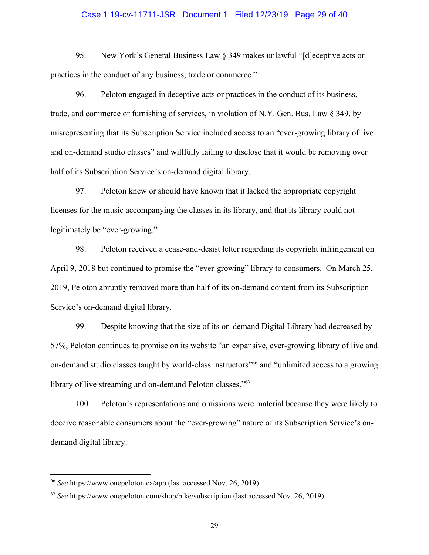### Case 1:19-cv-11711-JSR Document 1 Filed 12/23/19 Page 29 of 40

95. New York's General Business Law § 349 makes unlawful "[d]eceptive acts or practices in the conduct of any business, trade or commerce."

96. Peloton engaged in deceptive acts or practices in the conduct of its business, trade, and commerce or furnishing of services, in violation of N.Y. Gen. Bus. Law  $\S$  349, by misrepresenting that its Subscription Service included access to an "ever-growing library of live and on-demand studio classes" and willfully failing to disclose that it would be removing over half of its Subscription Service's on-demand digital library.

97. Peloton knew or should have known that it lacked the appropriate copyright licenses for the music accompanying the classes in its library, and that its library could not legitimately be "ever-growing."

98. Peloton received a cease-and-desist letter regarding its copyright infringement on April 9, 2018 but continued to promise the "ever-growing" library to consumers. On March 25, 2019, Peloton abruptly removed more than half of its on-demand content from its Subscription Service's on-demand digital library.

99. Despite knowing that the size of its on-demand Digital Library had decreased by 57%, Peloton continues to promise on its website "an expansive, ever-growing library of live and on-demand studio classes taught by world-class instructors<sup>566</sup> and "unlimited access to a growing library of live streaming and on-demand Peloton classes."67

Peloton's representations and omissions were material because they were likely to  $100.$ deceive reasonable consumers about the "ever-growing" nature of its Subscription Service's ondemand digital library.

<sup>&</sup>lt;sup>66</sup> See https://www.onepeloton.ca/app (last accessed Nov. 26, 2019).

 $67$  See https://www.onepeloton.com/shop/bike/subscription (last accessed Nov. 26, 2019).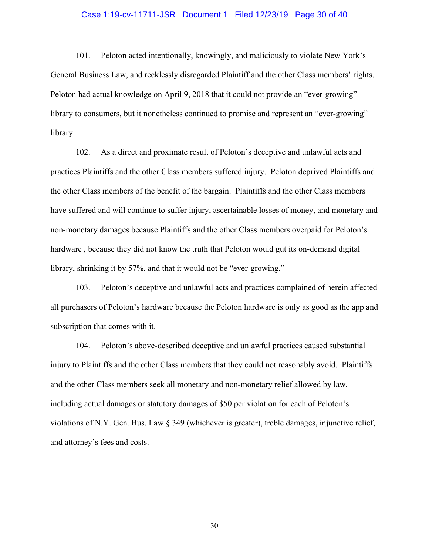### Case 1:19-cv-11711-JSR Document 1 Filed 12/23/19 Page 30 of 40

Peloton acted intentionally, knowingly, and maliciously to violate New York's 101. General Business Law, and recklessly disregarded Plaintiff and the other Class members' rights. Peloton had actual knowledge on April 9, 2018 that it could not provide an "ever-growing" library to consumers, but it nonetheless continued to promise and represent an "ever-growing" library.

102. As a direct and proximate result of Peloton's deceptive and unlawful acts and practices Plaintiffs and the other Class members suffered injury. Peloton deprived Plaintiffs and the other Class members of the benefit of the bargain. Plaintiffs and the other Class members have suffered and will continue to suffer injury, ascertainable losses of money, and monetary and non-monetary damages because Plaintiffs and the other Class members overpaid for Peloton's hardware, because they did not know the truth that Peloton would gut its on-demand digital library, shrinking it by 57%, and that it would not be "ever-growing."

103. Peloton's deceptive and unlawful acts and practices complained of herein affected all purchasers of Peloton's hardware because the Peloton hardware is only as good as the app and subscription that comes with it.

104. Peloton's above-described deceptive and unlawful practices caused substantial injury to Plaintiffs and the other Class members that they could not reasonably avoid. Plaintiffs and the other Class members seek all monetary and non-monetary relief allowed by law, including actual damages or statutory damages of \$50 per violation for each of Peloton's violations of N.Y. Gen. Bus. Law  $\S$  349 (whichever is greater), treble damages, injunctive relief, and attorney's fees and costs.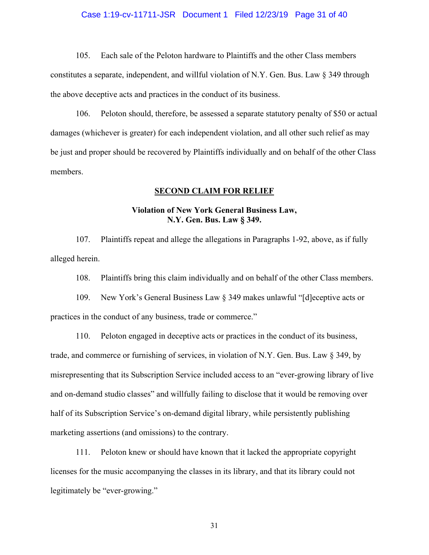### Case 1:19-cv-11711-JSR Document 1 Filed 12/23/19 Page 31 of 40

 $105.$ Each sale of the Peloton hardware to Plaintiffs and the other Class members constitutes a separate, independent, and willful violation of N.Y. Gen. Bus. Law § 349 through the above deceptive acts and practices in the conduct of its business.

106. Peloton should, therefore, be assessed a separate statutory penalty of \$50 or actual damages (whichever is greater) for each independent violation, and all other such relief as may be just and proper should be recovered by Plaintiffs individually and on behalf of the other Class members.

### **SECOND CLAIM FOR RELIEF**

# **Violation of New York General Business Law,** N.Y. Gen. Bus. Law § 349.

107. Plaintiffs repeat and allege the allegations in Paragraphs 1-92, above, as if fully alleged herein.

108. Plaintiffs bring this claim individually and on behalf of the other Class members.

109. New York's General Business Law  $\S$  349 makes unlawful "[d]eceptive acts or practices in the conduct of any business, trade or commerce."

Peloton engaged in deceptive acts or practices in the conduct of its business, 110. trade, and commerce or furnishing of services, in violation of N.Y. Gen. Bus. Law  $\S$  349, by misrepresenting that its Subscription Service included access to an "ever-growing library of live and on-demand studio classes" and willfully failing to disclose that it would be removing over half of its Subscription Service's on-demand digital library, while persistently publishing marketing assertions (and omissions) to the contrary.

 $111.$ Peloton knew or should have known that it lacked the appropriate copyright licenses for the music accompanying the classes in its library, and that its library could not legitimately be "ever-growing."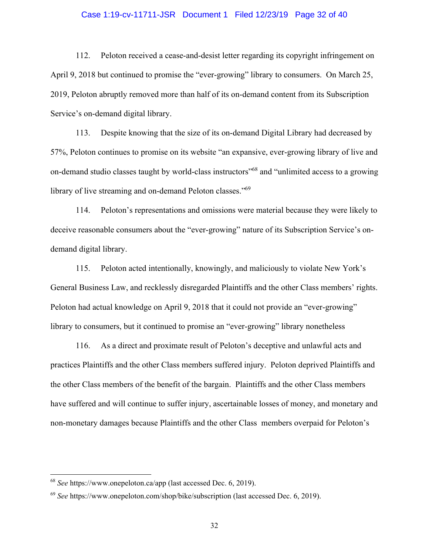### Case 1:19-cv-11711-JSR Document 1 Filed 12/23/19 Page 32 of 40

112. Peloton received a cease-and-desist letter regarding its copyright infringement on April 9, 2018 but continued to promise the "ever-growing" library to consumers. On March 25, 2019, Peloton abruptly removed more than half of its on-demand content from its Subscription Service's on-demand digital library.

Despite knowing that the size of its on-demand Digital Library had decreased by 113. 57%, Peloton continues to promise on its website "an expansive, ever-growing library of live and on-demand studio classes taught by world-class instructors<sup>568</sup> and "unlimited access to a growing" library of live streaming and on-demand Peloton classes."<sup>69</sup>

114. Peloton's representations and omissions were material because they were likely to deceive reasonable consumers about the "ever-growing" nature of its Subscription Service's ondemand digital library.

Peloton acted intentionally, knowingly, and maliciously to violate New York's 115. General Business Law, and recklessly disregarded Plaintiffs and the other Class members' rights. Peloton had actual knowledge on April 9, 2018 that it could not provide an "ever-growing" library to consumers, but it continued to promise an "ever-growing" library nonetheless

As a direct and proximate result of Peloton's deceptive and unlawful acts and 116. practices Plaintiffs and the other Class members suffered injury. Peloton deprived Plaintiffs and the other Class members of the benefit of the bargain. Plaintiffs and the other Class members have suffered and will continue to suffer injury, ascertainable losses of money, and monetary and non-monetary damages because Plaintiffs and the other Class members overpaid for Peloton's

<sup>&</sup>lt;sup>68</sup> See https://www.onepeloton.ca/app (last accessed Dec. 6, 2019).

 $69$  See https://www.onepeloton.com/shop/bike/subscription (last accessed Dec. 6, 2019).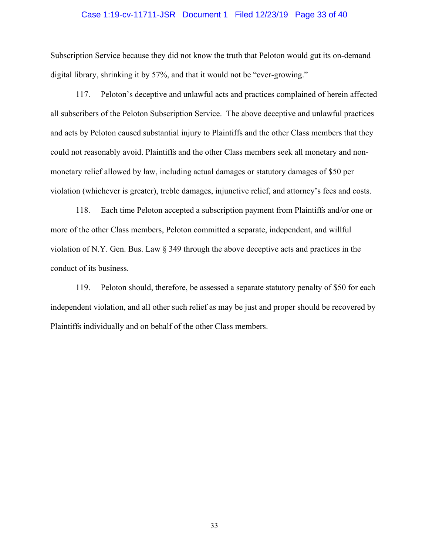### Case 1:19-cv-11711-JSR Document 1 Filed 12/23/19 Page 33 of 40

Subscription Service because they did not know the truth that Peloton would gut its on-demand digital library, shrinking it by 57%, and that it would not be "ever-growing."

Peloton's deceptive and unlawful acts and practices complained of herein affected 117. all subscribers of the Peloton Subscription Service. The above deceptive and unlawful practices and acts by Peloton caused substantial injury to Plaintiffs and the other Class members that they could not reasonably avoid. Plaintiffs and the other Class members seek all monetary and nonmonetary relief allowed by law, including actual damages or statutory damages of \$50 per violation (whichever is greater), treble damages, injunctive relief, and attorney's fees and costs.

118. Each time Peloton accepted a subscription payment from Plaintiffs and/or one or more of the other Class members, Peloton committed a separate, independent, and willful violation of N.Y. Gen. Bus. Law § 349 through the above deceptive acts and practices in the conduct of its business.

Peloton should, therefore, be assessed a separate statutory penalty of \$50 for each 119. independent violation, and all other such relief as may be just and proper should be recovered by Plaintiffs individually and on behalf of the other Class members.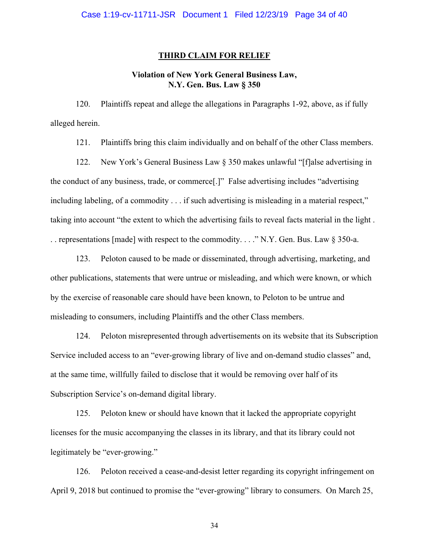### **THIRD CLAIM FOR RELIEF**

# **Violation of New York General Business Law,** N.Y. Gen. Bus. Law § 350

Plaintiffs repeat and allege the allegations in Paragraphs 1-92, above, as if fully 120. alleged herein.

Plaintiffs bring this claim individually and on behalf of the other Class members. 121.

122. New York's General Business Law § 350 makes unlawful "[f]alse advertising in the conduct of any business, trade, or commerce<sup>[1]</sup>. False advertising includes "advertising" including labeling, of a commodity . . . if such advertising is misleading in a material respect," taking into account "the extent to which the advertising fails to reveal facts material in the light. .. representations [made] with respect to the commodity...." N.Y. Gen. Bus. Law  $\S 350$ -a.

Peloton caused to be made or disseminated, through advertising, marketing, and 123. other publications, statements that were untrue or misleading, and which were known, or which by the exercise of reasonable care should have been known, to Peloton to be untrue and misleading to consumers, including Plaintiffs and the other Class members.

124. Peloton misrepresented through advertisements on its website that its Subscription Service included access to an "ever-growing library of live and on-demand studio classes" and, at the same time, willfully failed to disclose that it would be removing over half of its Subscription Service's on-demand digital library.

Peloton knew or should have known that it lacked the appropriate copyright 125. licenses for the music accompanying the classes in its library, and that its library could not legitimately be "ever-growing."

126. Peloton received a cease-and-desist letter regarding its copyright infringement on April 9, 2018 but continued to promise the "ever-growing" library to consumers. On March 25,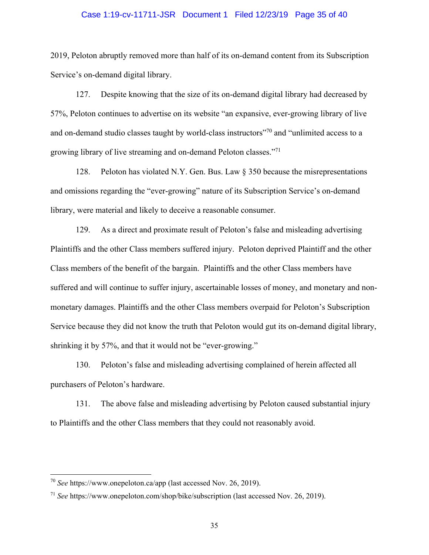### Case 1:19-cv-11711-JSR Document 1 Filed 12/23/19 Page 35 of 40

2019, Peloton abruptly removed more than half of its on-demand content from its Subscription Service's on-demand digital library.

Despite knowing that the size of its on-demand digital library had decreased by 127. 57%, Peloton continues to advertise on its website "an expansive, ever-growing library of live and on-demand studio classes taught by world-class instructors"<sup>70</sup> and "unlimited access to a growing library of live streaming and on-demand Peloton classes."<sup>71</sup>

128. Peloton has violated N.Y. Gen. Bus. Law  $\S 350$  because the misrepresentations and omissions regarding the "ever-growing" nature of its Subscription Service's on-demand library, were material and likely to deceive a reasonable consumer.

129. As a direct and proximate result of Peloton's false and misleading advertising Plaintiffs and the other Class members suffered injury. Peloton deprived Plaintiff and the other Class members of the benefit of the bargain. Plaintiffs and the other Class members have suffered and will continue to suffer injury, ascertainable losses of money, and monetary and nonmonetary damages. Plaintiffs and the other Class members overpaid for Peloton's Subscription Service because they did not know the truth that Peloton would gut its on-demand digital library, shrinking it by 57%, and that it would not be "ever-growing."

130. Peloton's false and misleading advertising complained of herein affected all purchasers of Peloton's hardware.

The above false and misleading advertising by Peloton caused substantial injury 131. to Plaintiffs and the other Class members that they could not reasonably avoid.

 $^{70}$  See https://www.onepeloton.ca/app (last accessed Nov. 26, 2019).

 $^{71}$  See https://www.onepeloton.com/shop/bike/subscription (last accessed Nov. 26, 2019).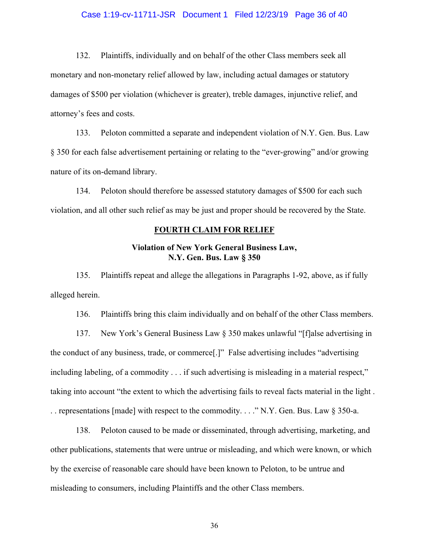### Case 1:19-cv-11711-JSR Document 1 Filed 12/23/19 Page 36 of 40

Plaintiffs, individually and on behalf of the other Class members seek all 132. monetary and non-monetary relief allowed by law, including actual damages or statutory damages of \$500 per violation (whichever is greater), treble damages, injunctive relief, and attorney's fees and costs.

Peloton committed a separate and independent violation of N.Y. Gen. Bus. Law 133. § 350 for each false advertisement pertaining or relating to the "ever-growing" and/or growing nature of its on-demand library.

134. Peloton should therefore be assessed statutory damages of \$500 for each such violation, and all other such relief as may be just and proper should be recovered by the State.

#### **FOURTH CLAIM FOR RELIEF**

# **Violation of New York General Business Law,** N.Y. Gen. Bus. Law § 350

Plaintiffs repeat and allege the allegations in Paragraphs 1-92, above, as if fully 135. alleged herein.

136. Plaintiffs bring this claim individually and on behalf of the other Class members.

137. New York's General Business Law § 350 makes unlawful "[f]alse advertising in the conduct of any business, trade, or commerce.]" False advertising includes "advertising including labeling, of a commodity  $\dots$  if such advertising is misleading in a material respect," taking into account "the extent to which the advertising fails to reveal facts material in the light. .. representations [made] with respect to the commodity...." N.Y. Gen. Bus. Law  $\S 350$ -a.

138. Peloton caused to be made or disseminated, through advertising, marketing, and other publications, statements that were untrue or misleading, and which were known, or which by the exercise of reasonable care should have been known to Peloton, to be untrue and misleading to consumers, including Plaintiffs and the other Class members.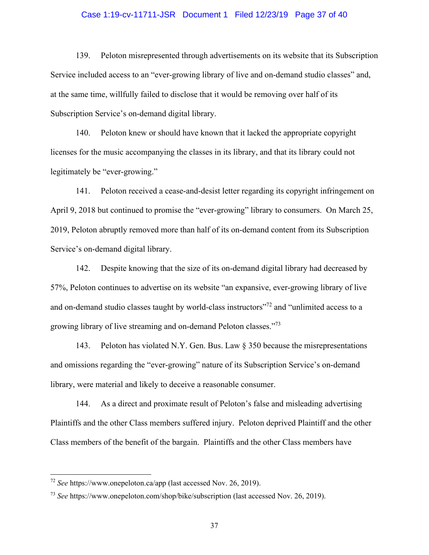### Case 1:19-cv-11711-JSR Document 1 Filed 12/23/19 Page 37 of 40

139. Peloton misrepresented through advertisements on its website that its Subscription Service included access to an "ever-growing library of live and on-demand studio classes" and, at the same time, willfully failed to disclose that it would be removing over half of its Subscription Service's on-demand digital library.

140. Peloton knew or should have known that it lacked the appropriate copyright licenses for the music accompanying the classes in its library, and that its library could not legitimately be "ever-growing."

141. Peloton received a cease-and-desist letter regarding its copyright infringement on April 9, 2018 but continued to promise the "ever-growing" library to consumers. On March 25, 2019, Peloton abruptly removed more than half of its on-demand content from its Subscription Service's on-demand digital library.

142. Despite knowing that the size of its on-demand digital library had decreased by 57%, Peloton continues to advertise on its website "an expansive, ever-growing library of live and on-demand studio classes taught by world-class instructors"<sup>72</sup> and "unlimited access to a growing library of live streaming and on-demand Peloton classes."73

143. Peloton has violated N.Y. Gen. Bus. Law  $\S 350$  because the misrepresentations and omissions regarding the "ever-growing" nature of its Subscription Service's on-demand library, were material and likely to deceive a reasonable consumer.

As a direct and proximate result of Peloton's false and misleading advertising 144. Plaintiffs and the other Class members suffered injury. Peloton deprived Plaintiff and the other Class members of the benefit of the bargain. Plaintiffs and the other Class members have

 $72$  See https://www.onepeloton.ca/app (last accessed Nov. 26, 2019).

<sup>&</sup>lt;sup>73</sup> See https://www.onepeloton.com/shop/bike/subscription (last accessed Nov. 26, 2019).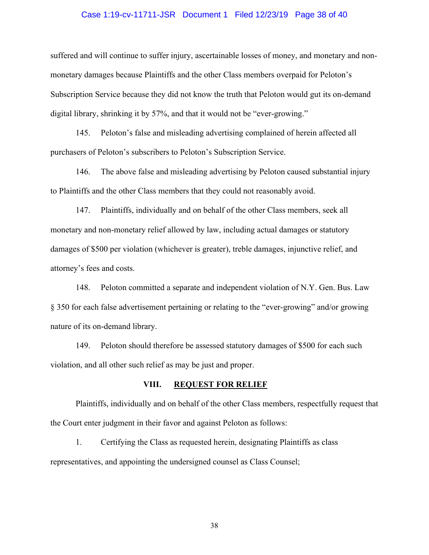### Case 1:19-cv-11711-JSR Document 1 Filed 12/23/19 Page 38 of 40

suffered and will continue to suffer injury, ascertainable losses of money, and monetary and nonmonetary damages because Plaintiffs and the other Class members overpaid for Peloton's Subscription Service because they did not know the truth that Peloton would gut its on-demand digital library, shrinking it by 57%, and that it would not be "ever-growing."

145. Peloton's false and misleading advertising complained of herein affected all purchasers of Peloton's subscribers to Peloton's Subscription Service.

146. The above false and misleading advertising by Peloton caused substantial injury to Plaintiffs and the other Class members that they could not reasonably avoid.

147. Plaintiffs, individually and on behalf of the other Class members, seek all monetary and non-monetary relief allowed by law, including actual damages or statutory damages of \$500 per violation (whichever is greater), treble damages, injunctive relief, and attorney's fees and costs.

Peloton committed a separate and independent violation of N.Y. Gen. Bus. Law 148. § 350 for each false advertisement pertaining or relating to the "ever-growing" and/or growing nature of its on-demand library.

149. Peloton should therefore be assessed statutory damages of \$500 for each such violation, and all other such relief as may be just and proper.

#### VIII. **REQUEST FOR RELIEF**

Plaintiffs, individually and on behalf of the other Class members, respectfully request that the Court enter judgment in their favor and against Peloton as follows:

1. Certifying the Class as requested herein, designating Plaintiffs as class representatives, and appointing the undersigned counsel as Class Counsel;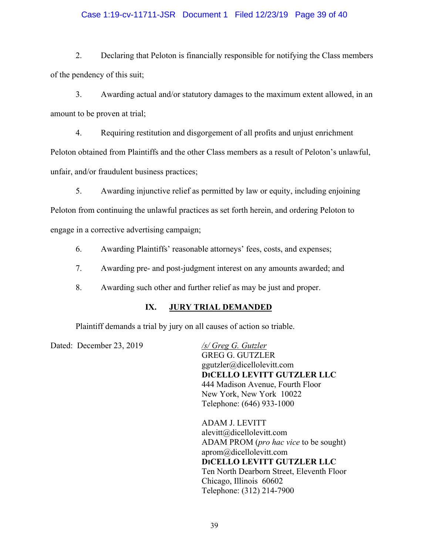# Case 1:19-cv-11711-JSR Document 1 Filed 12/23/19 Page 39 of 40

 $2.$ Declaring that Peloton is financially responsible for notifying the Class members of the pendency of this suit;

3. Awarding actual and/or statutory damages to the maximum extent allowed, in an amount to be proven at trial;

 $4.$ Requiring restitution and disgorgement of all profits and unjust enrichment Peloton obtained from Plaintiffs and the other Class members as a result of Peloton's unlawful, unfair, and/or fraudulent business practices;

5. Awarding injunctive relief as permitted by law or equity, including enjoining

Peloton from continuing the unlawful practices as set forth herein, and ordering Peloton to engage in a corrective advertising campaign;

6. Awarding Plaintiffs' reasonable attorneys' fees, costs, and expenses;

 $7.$ Awarding pre- and post-judgment interest on any amounts awarded; and

8. Awarding such other and further relief as may be just and proper.

#### IX. **JURY TRIAL DEMANDED**

Plaintiff demands a trial by jury on all causes of action so triable.

Dated: December 23, 2019

/s/ Greg G. Gutzler **GREG G. GUTZLER** ggutzler@dicellolevitt.com DICELLO LEVITT GUTZLER LLC 444 Madison Avenue, Fourth Floor New York, New York 10022 Telephone: (646) 933-1000

**ADAM J. LEVITT** alevitt@dicellolevitt.com ADAM PROM (pro hac vice to be sought) aprom@dicellolevitt.com DICELLO LEVITT GUTZLER LLC Ten North Dearborn Street, Eleventh Floor Chicago, Illinois 60602 Telephone: (312) 214-7900